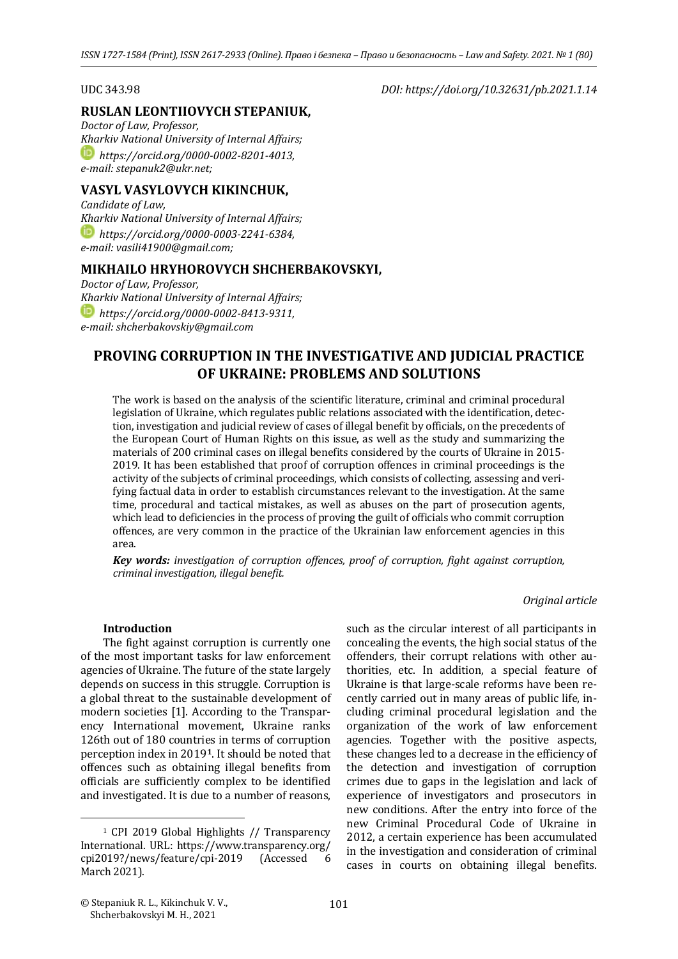### **RUSLAN LEONTIIOVYCH STEPANIUK,**

*https://orcid.org/0000-0002-8201-4013, e-mail: stepanuk2@ukr.net; Doctor of Law, Professor, Kharkiv National University of Internal Affairs;*

# **VASYL VASYLOVYCH KIKINCHUK,**

*Candidate of Law, Kharkiv National University of Internal Affairs; https://orcid.org/0000-0003-2241-6384, e-mail: vasili41900@gmail.com;*

# **MIKHAILO HRYHOROVYCH SHCHERBAKOVSKYI,**

*Doctor of Law, Professor, Kharkiv National University of Internal Affairs; https://orcid.org/0000-0002-8413-9311, e-mail: shcherbakovskiy@gmail.com*

# **PROVING CORRUPTION IN THE INVESTIGATIVE AND JUDICIAL PRACTICE OF UKRAINE: PROBLEMS AND SOLUTIONS**

The work is based on the analysis of the scientific literature, criminal and criminal procedural legislation of Ukraine, which regulates public relations associated with the identification, detection, investigation and judicial review of cases of illegal benefit by officials, on the precedents of the European Court of Human Rights on this issue, as well as the study and summarizing the materials of 200 criminal cases on illegal benefits considered by the courts of Ukraine in 2015- 2019. It has been established that proof of corruption offences in criminal proceedings is the activity of the subjects of criminal proceedings, which consists of collecting, assessing and verifying factual data in order to establish circumstances relevant to the investigation. At the same time, procedural and tactical mistakes, as well as abuses on the part of prosecution agents, which lead to deficiencies in the process of proving the guilt of officials who commit corruption offences, are very common in the practice of the Ukrainian law enforcement agencies in this area.

*Key words: investigation of corruption offences, proof of corruption, fight against corruption, criminal investigation, illegal benefit.*

#### *Original article*

#### **Introduction**

The fight against corruption is currently one of the most important tasks for law enforcement agencies of Ukraine. The future of the state largely depends on success in this struggle. Corruption is a global threat to the sustainable development of modern societies [1]. According to the Transparency International movement, Ukraine ranks 126th out of 180 countries in terms of corruption perception index in 2019**[1](#page-0-0)**. It should be noted that offences such as obtaining illegal benefits from officials are sufficiently complex to be identified and investigated. It is due to a number of reasons,

such as the circular interest of all participants in concealing the events, the high social status of the offenders, their corrupt relations with other authorities, etc. In addition, a special feature of Ukraine is that large-scale reforms have been recently carried out in many areas of public life, including criminal procedural legislation and the organization of the work of law enforcement agencies. Together with the positive aspects, these changes led to a decrease in the efficiency of the detection and investigation of corruption crimes due to gaps in the legislation and lack of experience of investigators and prosecutors in new conditions. After the entry into force of the new Criminal Procedural Code of Ukraine in 2012, a certain experience has been accumulated in the investigation and consideration of criminal cases in courts on obtaining illegal benefits.

UDC 343.98 *DOI: https://doi.org/10.32631/pb.2021.1.14*

<span id="page-0-0"></span><sup>1</sup> CPI 2019 Global Highlights // Transparency International. URL: https://www.transparency.org/<br>cpi2019?/news/feature/cpi-2019 (Accessed 6 cpi2019?/news/feature/cpi-2019 March 2021).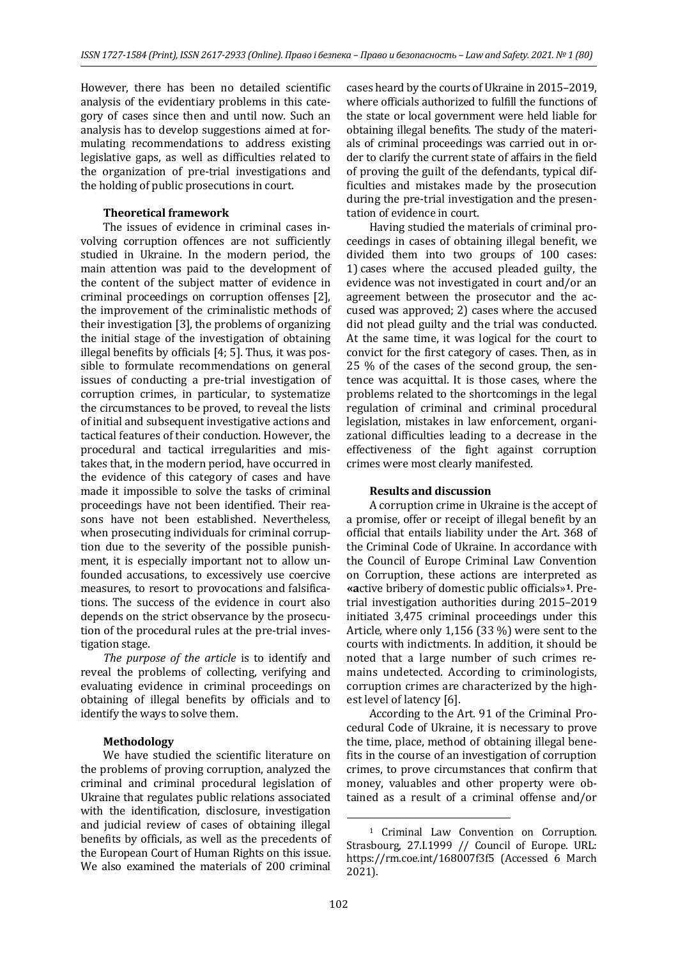However, there has been no detailed scientific analysis of the evidentiary problems in this category of cases since then and until now. Such an analysis has to develop suggestions aimed at formulating recommendations to address existing legislative gaps, as well as difficulties related to the organization of pre-trial investigations and the holding of public prosecutions in court.

#### **Theoretical framework**

The issues of evidence in criminal cases involving corruption offences are not sufficiently studied in Ukraine. In the modern period, the main attention was paid to the development of the content of the subject matter of evidence in criminal proceedings on corruption offenses [2], the improvement of the criminalistic methods of their investigation [3], the problems of organizing the initial stage of the investigation of obtaining illegal benefits by officials [4; 5]. Thus, it was possible to formulate recommendations on general issues of conducting a pre-trial investigation of corruption crimes, in particular, to systematize the circumstances to be proved, to reveal the lists of initial and subsequent investigative actions and tactical features of their conduction. However, the procedural and tactical irregularities and mistakes that, in the modern period, have occurred in the evidence of this category of cases and have made it impossible to solve the tasks of criminal proceedings have not been identified. Their reasons have not been established. Nevertheless, when prosecuting individuals for criminal corruption due to the severity of the possible punishment, it is especially important not to allow unfounded accusations, to excessively use coercive measures, to resort to provocations and falsifications. The success of the evidence in court also depends on the strict observance by the prosecution of the procedural rules at the pre-trial investigation stage.

*The purpose of the article* is to identify and reveal the problems of collecting, verifying and evaluating evidence in criminal proceedings on obtaining of illegal benefits by officials and to identify the ways to solve them.

#### **Methodology**

<span id="page-1-0"></span>We have studied the scientific literature on the problems of proving corruption, analyzed the criminal and criminal procedural legislation of Ukraine that regulates public relations associated with the identification, disclosure, investigation and judicial review of cases of obtaining illegal benefits by officials, as well as the precedents of the European Court of Human Rights on this issue. We also examined the materials of 200 criminal

cases heard by the courts of Ukraine in 2015–2019, where officials authorized to fulfill the functions of the state or local government were held liable for obtaining illegal benefits. The study of the materials of criminal proceedings was carried out in order to clarify the current state of affairs in the field of proving the guilt of the defendants, typical difficulties and mistakes made by the prosecution during the pre-trial investigation and the presentation of evidence in court.

Having studied the materials of criminal proceedings in cases of obtaining illegal benefit, we divided them into two groups of 100 cases: 1) cases where the accused pleaded guilty, the evidence was not investigated in court and/or an agreement between the prosecutor and the accused was approved; 2) cases where the accused did not plead guilty and the trial was conducted. At the same time, it was logical for the court to convict for the first category of cases. Then, as in 25 % of the cases of the second group, the sentence was acquittal. It is those cases, where the problems related to the shortcomings in the legal regulation of criminal and criminal procedural legislation, mistakes in law enforcement, organizational difficulties leading to a decrease in the effectiveness of the fight against corruption crimes were most clearly manifested.

#### **Results and discussion**

A corruption crime in Ukraine is the accept of a promise, offer or receipt of illegal benefit by an official that entails liability under the Art. 368 of the Criminal Code of Ukraine. In accordance with the Council of Europe Criminal Law Convention on Corruption, these actions are interpreted as **«a**ctive bribery of domestic public officials»**[1](#page-1-0)**. Pretrial investigation authorities during 2015–2019 initiated 3,475 criminal proceedings under this Article, where only 1,156 (33 %) were sent to the courts with indictments. In addition, it should be noted that a large number of such crimes remains undetected. According to criminologists, corruption crimes are characterized by the highest level of latency [6].

According to the Art. 91 of the Criminal Procedural Code of Ukraine, it is necessary to prove the time, place, method of obtaining illegal benefits in the course of an investigation of corruption crimes, to prove circumstances that confirm that money, valuables and other property were obtained as a result of a criminal offense and/or

<sup>1</sup> Criminal Law Convention on Corruption. Strasbourg, 27.I.1999 // Council of Europe. URL: https://rm.coe.int/168007f3f5 (Accessed 6 March 2021).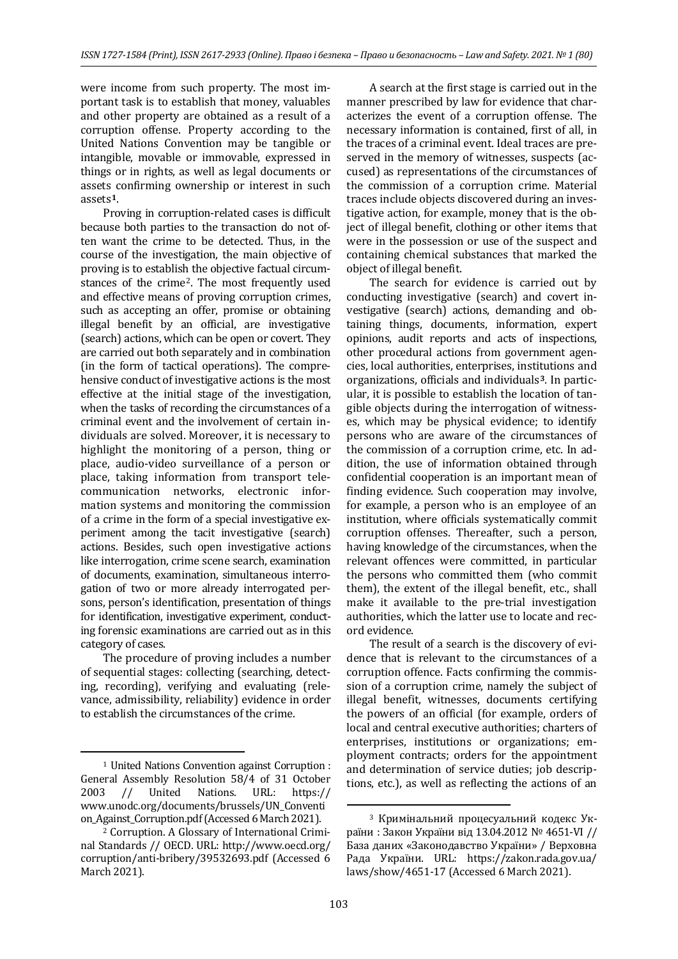were income from such property. The most important task is to establish that money, valuables and other property are obtained as a result of a corruption offense. Property according to the United Nations Convention may be tangible or intangible, movable or immovable, expressed in things or in rights, as well as legal documents or assets confirming ownership or interest in such assets**[1](#page-2-0)**.

Proving in corruption-related cases is difficult because both parties to the transaction do not often want the crime to be detected. Thus, in the course of the investigation, the main objective of proving is to establish the objective factual circumstances of the crime[2.](#page-2-1) The most frequently used and effective means of proving corruption crimes, such as accepting an offer, promise or obtaining illegal benefit by an official, are investigative (search) actions, which can be open or covert. They are carried out both separately and in combination (in the form of tactical operations). The comprehensive conduct of investigative actions is the most effective at the initial stage of the investigation, when the tasks of recording the circumstances of a criminal event and the involvement of certain individuals are solved. Moreover, it is necessary to highlight the monitoring of a person, thing or place, audio-video surveillance of a person or place, taking information from transport telecommunication networks, electronic information systems and monitoring the commission of a crime in the form of a special investigative experiment among the tacit investigative (search) actions. Besides, such open investigative actions like interrogation, crime scene search, examination of documents, examination, simultaneous interrogation of two or more already interrogated persons, person's identification, presentation of things for identification, investigative experiment, conducting forensic examinations are carried out as in this category of cases.

The procedure of proving includes a number of sequential stages: collecting (searching, detecting, recording), verifying and evaluating (relevance, admissibility, reliability) evidence in order to establish the circumstances of the crime.

A search at the first stage is carried out in the manner prescribed by law for evidence that characterizes the event of a corruption offense. The necessary information is contained, first of all, in the traces of a criminal event. Ideal traces are preserved in the memory of witnesses, suspects (accused) as representations of the circumstances of the commission of a corruption crime. Material traces include objects discovered during an investigative action, for example, money that is the object of illegal benefit, clothing or other items that were in the possession or use of the suspect and containing chemical substances that marked the object of illegal benefit.

The search for evidence is carried out by conducting investigative (search) and covert investigative (search) actions, demanding and obtaining things, documents, information, expert opinions, audit reports and acts of inspections, other procedural actions from government agencies, local authorities, enterprises, institutions and organizations, officials and individuals**[3](#page-2-2)**. In particular, it is possible to establish the location of tangible objects during the interrogation of witnesses, which may be physical evidence; to identify persons who are aware of the circumstances of the commission of a corruption crime, etc. In addition, the use of information obtained through confidential cooperation is an important mean of finding evidence. Such cooperation may involve, for example, a person who is an employee of an institution, where officials systematically commit corruption offenses. Thereafter, such a person, having knowledge of the circumstances, when the relevant offences were committed, in particular the persons who committed them (who commit them), the extent of the illegal benefit, etc., shall make it available to the pre-trial investigation authorities, which the latter use to locate and record evidence.

The result of a search is the discovery of evidence that is relevant to the circumstances of a corruption offence. Facts confirming the commission of a corruption crime, namely the subject of illegal benefit, witnesses, documents certifying the powers of an official (for example, orders of local and central executive authorities; charters of enterprises, institutions or organizations; employment contracts; orders for the appointment and determination of service duties; job descriptions, etc.), as well as reflecting the actions of an

<span id="page-2-0"></span><sup>1</sup> United Nations Convention against Corruption : General Assembly Resolution 58/4 of 31 October<br>2003 // United Nations. URL: https:// 2003 // United Nations. URL: https:// www.unodc.org/documents/brussels/UN\_Conventi on\_Against\_Corruption.pdf(Accessed 6 March 2021).

<span id="page-2-2"></span><span id="page-2-1"></span><sup>2</sup> Corruption. A Glossary of International Criminal Standards // OECD. URL: http://www.oecd.org/ corruption/anti-bribery/39532693.pdf (Accessed 6 March 2021).

<sup>3</sup> Кримінальний процесуальний кодекс України : Закон України від 13.04.2012 № 4651-VI // База даних «Законодавство України» / Верховна Рада України. URL: https://zakon.rada.gov.ua/ laws/show/4651-17 (Accessed 6 March 2021).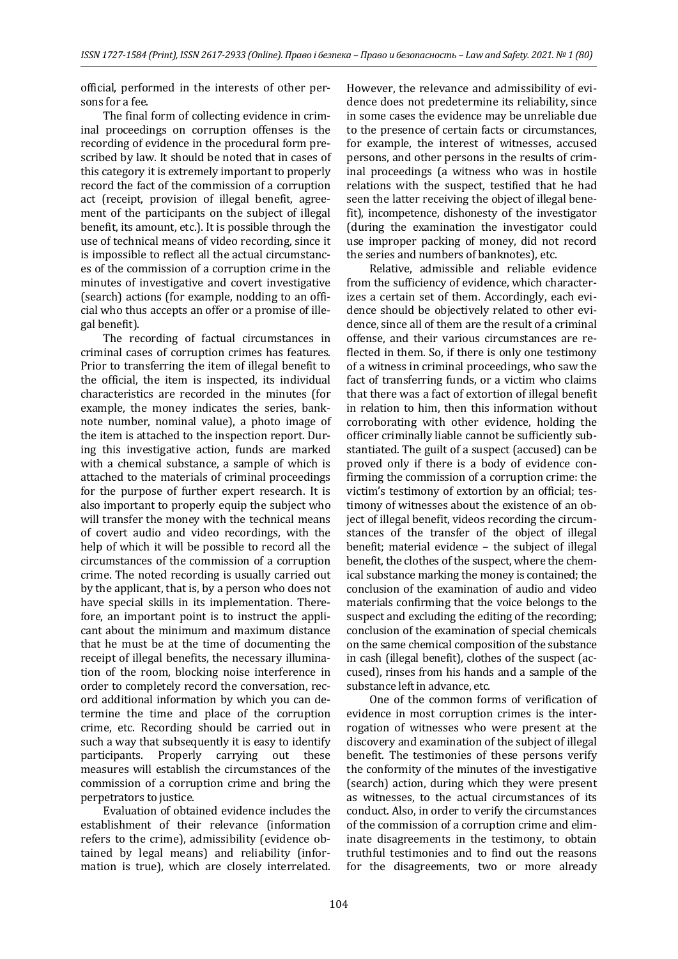official, performed in the interests of other persons for a fee.

The final form of collecting evidence in criminal proceedings on corruption offenses is the recording of evidence in the procedural form prescribed by law. It should be noted that in cases of this category it is extremely important to properly record the fact of the commission of a corruption act (receipt, provision of illegal benefit, agreement of the participants on the subject of illegal benefit, its amount, etc.). It is possible through the use of technical means of video recording, since it is impossible to reflect all the actual circumstances of the commission of a corruption crime in the minutes of investigative and covert investigative (search) actions (for example, nodding to an official who thus accepts an offer or a promise of illegal benefit).

The recording of factual circumstances in criminal cases of corruption crimes has features. Prior to transferring the item of illegal benefit to the official, the item is inspected, its individual characteristics are recorded in the minutes (for example, the money indicates the series, banknote number, nominal value), a photo image of the item is attached to the inspection report. During this investigative action, funds are marked with a chemical substance, a sample of which is attached to the materials of criminal proceedings for the purpose of further expert research. It is also important to properly equip the subject who will transfer the money with the technical means of covert audio and video recordings, with the help of which it will be possible to record all the circumstances of the commission of a corruption crime. The noted recording is usually carried out by the applicant, that is, by a person who does not have special skills in its implementation. Therefore, an important point is to instruct the applicant about the minimum and maximum distance that he must be at the time of documenting the receipt of illegal benefits, the necessary illumination of the room, blocking noise interference in order to completely record the conversation, record additional information by which you can determine the time and place of the corruption crime, etc. Recording should be carried out in such a way that subsequently it is easy to identify<br>participants. Properly carrying out these carrying out measures will establish the circumstances of the commission of a corruption crime and bring the perpetrators to justice.

Evaluation of obtained evidence includes the establishment of their relevance (information refers to the crime), admissibility (evidence obtained by legal means) and reliability (information is true), which are closely interrelated.

However, the relevance and admissibility of evidence does not predetermine its reliability, since in some cases the evidence may be unreliable due to the presence of certain facts or circumstances, for example, the interest of witnesses, accused persons, and other persons in the results of criminal proceedings (a witness who was in hostile relations with the suspect, testified that he had seen the latter receiving the object of illegal benefit), incompetence, dishonesty of the investigator (during the examination the investigator could use improper packing of money, did not record the series and numbers of banknotes), etc.

Relative, admissible and reliable evidence from the sufficiency of evidence, which characterizes a certain set of them. Accordingly, each evidence should be objectively related to other evidence, since all of them are the result of a criminal offense, and their various circumstances are reflected in them. So, if there is only one testimony of a witness in criminal proceedings, who saw the fact of transferring funds, or a victim who claims that there was a fact of extortion of illegal benefit in relation to him, then this information without corroborating with other evidence, holding the officer criminally liable cannot be sufficiently substantiated. The guilt of a suspect (accused) can be proved only if there is a body of evidence confirming the commission of a corruption crime: the victim's testimony of extortion by an official; testimony of witnesses about the existence of an object of illegal benefit, videos recording the circumstances of the transfer of the object of illegal benefit; material evidence – the subject of illegal benefit, the clothes of the suspect, where the chemical substance marking the money is contained; the conclusion of the examination of audio and video materials confirming that the voice belongs to the suspect and excluding the editing of the recording; conclusion of the examination of special chemicals on the same chemical composition of the substance in cash (illegal benefit), clothes of the suspect (accused), rinses from his hands and a sample of the substance left in advance, etc.

One of the common forms of verification of evidence in most corruption crimes is the interrogation of witnesses who were present at the discovery and examination of the subject of illegal benefit. The testimonies of these persons verify the conformity of the minutes of the investigative (search) action, during which they were present as witnesses, to the actual circumstances of its conduct. Also, in order to verify the circumstances of the commission of a corruption crime and eliminate disagreements in the testimony, to obtain truthful testimonies and to find out the reasons for the disagreements, two or more already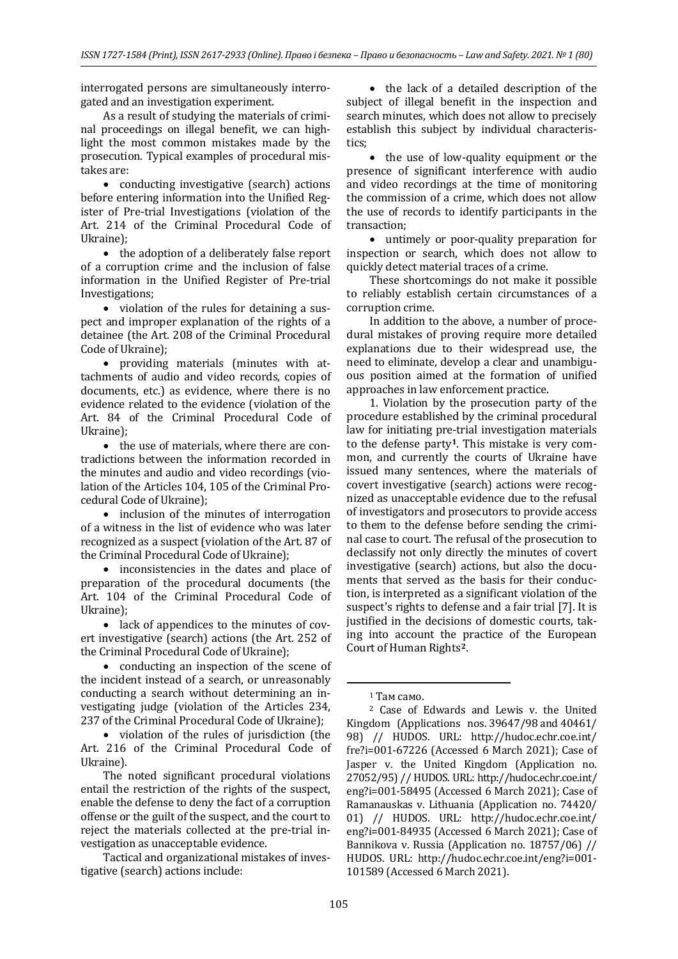interrogated persons are simultaneously interrogated and an investigation experiment.

As a result of studying the materials of criminal proceedings on illegal benefit, we can highlight the most common mistakes made by the prosecution. Typical examples of procedural mistakes are:

• conducting investigative (search) actions before entering information into the Unified Register of Pre-trial Investigations (violation of the Art. 214 of the Criminal Procedural Code of Ukraine);

• the adoption of a deliberately false report of a corruption crime and the inclusion of false information in the Unified Register of Pre-trial Investigations;

• violation of the rules for detaining a suspect and improper explanation of the rights of a detainee (the Art. 208 of the Criminal Procedural Code of Ukraine);

• providing materials (minutes with attachments of audio and video records, copies of documents, etc.) as evidence, where there is no evidence related to the evidence (violation of the Art. 84 of the Criminal Procedural Code of Ukraine);

• the use of materials, where there are contradictions between the information recorded in the minutes and audio and video recordings (violation of the Articles 104, 105 of the Criminal Procedural Code of Ukraine);

• inclusion of the minutes of interrogation of a witness in the list of evidence who was later recognized as a suspect (violation of the Art. 87 of the Criminal Procedural Code of Ukraine);

• inconsistencies in the dates and place of preparation of the procedural documents (the Art. 104 of the Criminal Procedural Code of Ukraine);

• lack of appendices to the minutes of covert investigative (search) actions (the Art. 252 of the Criminal Procedural Code of Ukraine);

<span id="page-4-0"></span>• conducting an inspection of the scene of the incident instead of a search, or unreasonably conducting a search without determining an investigating judge (violation of the Articles 234, 237 of the Criminal Procedural Code of Ukraine);

<span id="page-4-1"></span>• violation of the rules of jurisdiction (the Art. 216 of the Criminal Procedural Code of Ukraine).

The noted significant procedural violations entail the restriction of the rights of the suspect, enable the defense to deny the fact of a corruption offense or the guilt of the suspect, and the court to reject the materials collected at the pre-trial investigation as unacceptable evidence.

Tactical and organizational mistakes of investigative (search) actions include:

• the lack of a detailed description of the subject of illegal benefit in the inspection and search minutes, which does not allow to precisely establish this subject by individual characteristics;

• the use of low-quality equipment or the presence of significant interference with audio and video recordings at the time of monitoring the commission of a crime, which does not allow the use of records to identify participants in the transaction;

• untimely or poor-quality preparation for inspection or search, which does not allow to quickly detect material traces of a crime.

These shortcomings do not make it possible to reliably establish certain circumstances of a corruption crime.

In addition to the above, a number of procedural mistakes of proving require more detailed explanations due to their widespread use, the need to eliminate, develop a clear and unambiguous position aimed at the formation of unified approaches in law enforcement practice.

1. Violation by the prosecution party of the procedure established by the criminal procedural law for initiating pre-trial investigation materials to the defense party**[1](#page-4-0)**. This mistake is very common, and currently the courts of Ukraine have issued many sentences, where the materials of covert investigative (search) actions were recognized as unacceptable evidence due to the refusal of investigators and prosecutors to provide access to them to the defense before sending the criminal case to court. The refusal of the prosecution to declassify not only directly the minutes of covert investigative (search) actions, but also the documents that served as the basis for their conduction, is interpreted as a significant violation of the suspect's rights to defense and a fair trial [7]. It is justified in the decisions of domestic courts, taking into account the practice of the European Court of Human Rights**[2](#page-4-1)**.

 $1$  Там само.

<sup>2</sup> Case of Edwards and Lewis v. the United Kingdom (Applications nos. [39647/98](https://hudoc.echr.coe.int/eng#%7B%22appno%22:%5B%2239647/98%22%5D%7D) and [40461/](https://hudoc.echr.coe.int/eng#%7B%22appno%22:%5B%2240461/98%22%5D%7D) [98](https://hudoc.echr.coe.int/eng#%7B%22appno%22:%5B%2240461/98%22%5D%7D)) // HUDOS. URL: http://hudoc.echr.coe.int/ fre?i=001-67226 (Accessed 6 March 2021); Case of Jasper v. the United Kingdom (Application no. 27052/95) // HUDOS. URL: http://hudoc.echr.coe.int/ eng?i=001-58495 (Accessed 6 March 2021); Case of Ramanauskas v. Lithuania (Application no. 74420/ 01) // HUDOS. URL: http://hudoc.echr.coe.int/ eng?i=001-84935 (Accessed 6 March 2021); Case of Bannikova v. Russia (Application no. 18757/06) // HUDOS. URL: http://hudoc.echr.coe.int/eng?i=001- 101589 (Accessed 6 March 2021).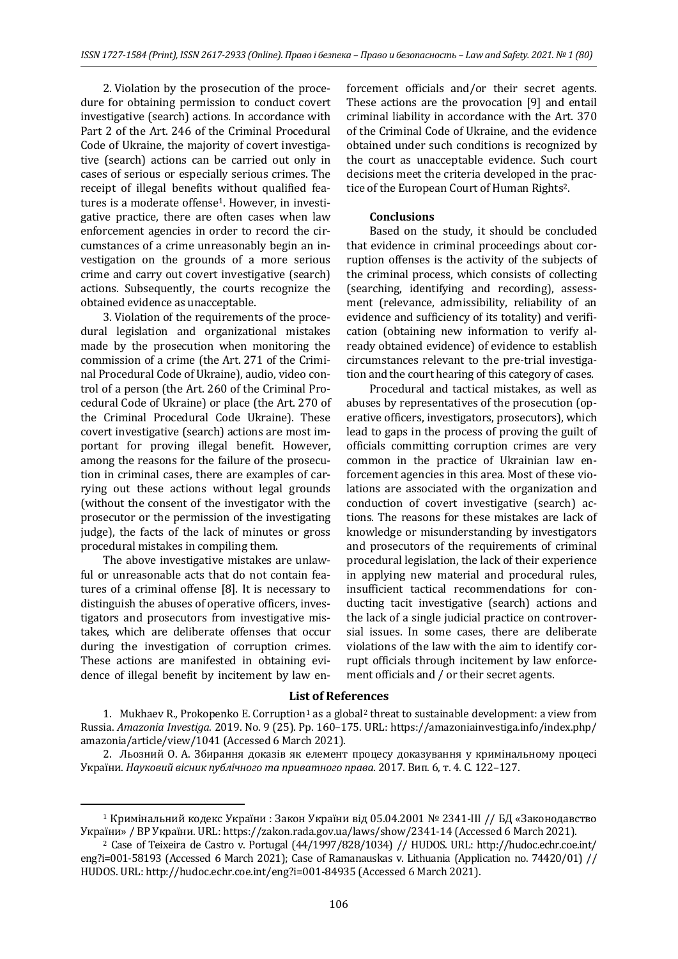2. Violation by the prosecution of the procedure for obtaining permission to conduct covert investigative (search) actions. In accordance with Part 2 of the Art. 246 of the Criminal Procedural Code of Ukraine, the majority of covert investigative (search) actions can be carried out only in cases of serious or especially serious crimes. The receipt of illegal benefits without qualified features is a moderate offense<sup>1</sup>. However, in investigative practice, there are often cases when law enforcement agencies in order to record the circumstances of a crime unreasonably begin an investigation on the grounds of a more serious crime and carry out covert investigative (search) actions. Subsequently, the courts recognize the obtained evidence as unacceptable.

3. Violation of the requirements of the procedural legislation and organizational mistakes made by the prosecution when monitoring the commission of a crime (the Art. 271 of the Criminal Procedural Code of Ukraine), audio, video control of a person (the Art. 260 of the Criminal Procedural Code of Ukraine) or place (the Art. 270 of the Criminal Procedural Code Ukraine). These covert investigative (search) actions are most important for proving illegal benefit. However, among the reasons for the failure of the prosecution in criminal cases, there are examples of carrying out these actions without legal grounds (without the consent of the investigator with the prosecutor or the permission of the investigating judge), the facts of the lack of minutes or gross procedural mistakes in compiling them.

The above investigative mistakes are unlawful or unreasonable acts that do not contain features of a criminal offense [8]. It is necessary to distinguish the abuses of operative officers, investigators and prosecutors from investigative mistakes, which are deliberate offenses that occur during the investigation of corruption crimes. These actions are manifested in obtaining evidence of illegal benefit by incitement by law en-

forcement officials and/or their secret agents. These actions are the provocation [9] and entail criminal liability in accordance with the Art. 370 of the Criminal Code of Ukraine, and the evidence obtained under such conditions is recognized by the court as unacceptable evidence. Such court decisions meet the criteria developed in the practice of the European Court of Human Rights2.

### **Conclusions**

Based on the study, it should be concluded that evidence in criminal proceedings about corruption offenses is the activity of the subjects of the criminal process, which consists of collecting (searching, identifying and recording), assessment (relevance, admissibility, reliability of an evidence and sufficiency of its totality) and verification (obtaining new information to verify already obtained evidence) of evidence to establish circumstances relevant to the pre-trial investigation and the court hearing of this category of cases.

Procedural and tactical mistakes, as well as abuses by representatives of the prosecution (operative officers, investigators, prosecutors), which lead to gaps in the process of proving the guilt of officials committing corruption crimes are very common in the practice of Ukrainian law enforcement agencies in this area. Most of these violations are associated with the organization and conduction of covert investigative (search) actions. The reasons for these mistakes are lack of knowledge or misunderstanding by investigators and prosecutors of the requirements of criminal procedural legislation, the lack of their experience in applying new material and procedural rules, insufficient tactical recommendations for conducting tacit investigative (search) actions and the lack of a single judicial practice on controversial issues. In some cases, there are deliberate violations of the law with the aim to identify corrupt officials through incitement by law enforcement officials and / or their secret agents.

#### **List of References**

[1](#page-5-0). Mukhaev R., Prokopenko E. Corruption<sup>1</sup> as a global<sup>[2](#page-5-1)</sup> threat to sustainable development: a view from Russia. *Amazonia Investiga*. 2019. No. 9 (25). Pp. 160–175. URL: https://amazoniainvestiga.info/index.php/ amazonia/article/view/1041 (Accessed 6 March 2021).

2. Льозний О. А. Збирання доказів як елемент процесу доказування у кримінальному процесі України. *Науковий вісник публічного та приватного права*. 2017. Вип. 6, т. 4. С. 122–127.

<span id="page-5-0"></span><sup>1</sup> Кримінальний кодекс України : Закон України від 05.04.2001 № 2341-III // БД «Законодавство України» / ВР України. URL: https://zakon.rada.gov.ua/laws/show/2341-14 (Accessed 6 March 2021).

<span id="page-5-1"></span><sup>2</sup> Case of Teixeira de Castro v. Portugal (44/1997/828/1034) // HUDOS. URL: http://hudoc.echr.coe.int/ eng?i=001-58193 (Accessed 6 March 2021); Case of Ramanauskas v. Lithuania (Application no. 74420/01) // HUDOS. URL: http://hudoc.echr.coe.int/eng?i=001-84935 (Accessed 6 March 2021).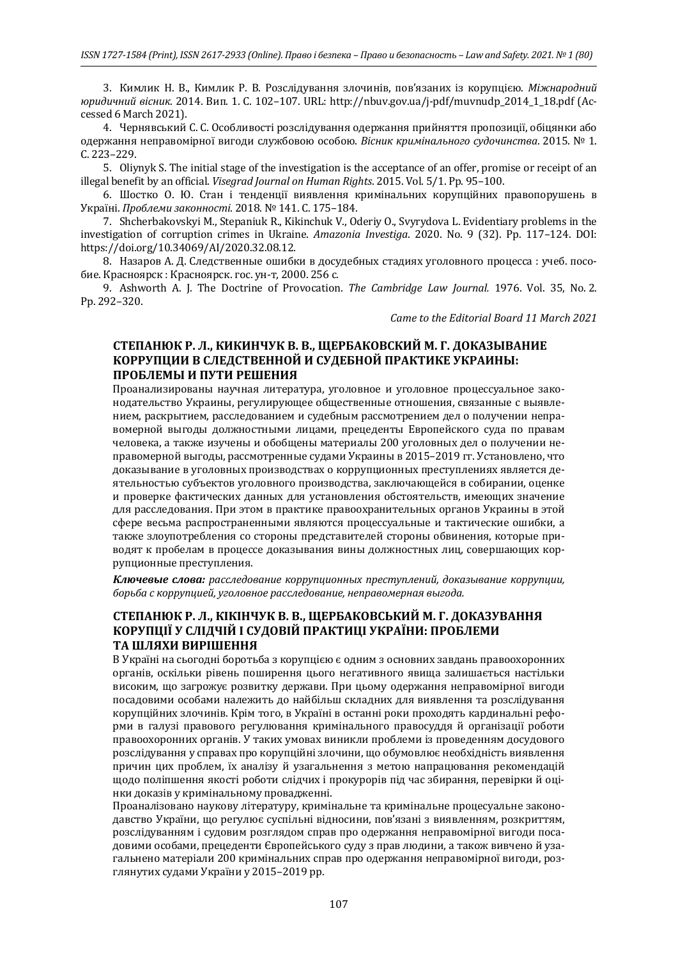3. Кимлик Н. В., Кимлик Р. В. Розслідування злочинів, пов'язаних із корупцією. *Міжнародний юридичний вісник*. 2014. Вип. 1. С. 102–107. URL: http://nbuv.gov.ua/j-pdf/muvnudp\_2014\_1\_18.pdf (Accessed 6 March 2021).

4. Чернявський С. С. Особливості розслідування одержання прийняття пропозиції, обіцянки або одержання неправомірної вигоди службовою особою. *Вісник кримінального судочинства*. 2015. № 1. С. 223–229.

5. Oliynyk S. The initial stage of the investigation is the acceptance of an offer, promise or receipt of an illegal benefit by an official. *Visegrad Journal on Human Rights*. 2015. Vol. 5/1. Pp. 95–100.

6. Шостко О. Ю. Стан і тенденції виявлення кримінальних корупційних правопорушень в Україні. *Проблеми законності*. 2018. № 141. С. 175–184.

7. Shcherbakovskyi M., Stepaniuk R., Kikinchuk V., Oderiy O., Svyrydova L. Evidentiary problems in the investigation of corruption crimes in Ukraine. *Amazonia Investiga*. 2020. No. 9 (32). Pp. 117–124. DOI: https://doi.org/10.34069/AI/2020.32.08.12.

8. Назаров А. Д. Следственные ошибки в досудебных стадиях уголовного процесса : учеб. пособие. Красноярск : Красноярск. гос. ун-т, 2000. 256 с.

9. Ashworth A. J. The Doctrine of Provocation. *The Cambridge Law Journal.* 1976. Vol. 35, No. 2. Pp. 292–320.

*Came to the Editorial Board 11 March 2021*

## **СТЕПАНЮК Р. Л., КИКИНЧУК В. В., ЩЕРБАКОВСКИЙ М. Г. ДОКАЗЫВАНИЕ КОРРУПЦИИ В СЛЕДСТВЕННОЙ И СУДЕБНОЙ ПРАКТИКЕ УКРАИНЫ: ПРОБЛЕМЫ И ПУТИ РЕШЕНИЯ**

Проанализированы научная литература, уголовное и уголовное процессуальное законодательство Украины, регулирующее общественные отношения, связанные с выявлением, раскрытием, расследованием и судебным рассмотрением дел о получении неправомерной выгоды должностными лицами, прецеденты Европейского суда по правам человека, а также изучены и обобщены материалы 200 уголовных дел о получении неправомерной выгоды, рассмотренные судами Украины в 2015–2019 гг. Установлено, что доказывание в уголовных производствах о коррупционных преступлениях является деятельностью субъектов уголовного производства, заключающейся в собирании, оценке и проверке фактических данных для установления обстоятельств, имеющих значение для расследования. При этом в практике правоохранительных органов Украины в этой сфере весьма распространенными являются процессуальные и тактические ошибки, а также злоупотребления со стороны представителей стороны обвинения, которые приводят к пробелам в процессе доказывания вины должностных лиц, совершающих коррупционные преступления.

*Ключевые слова: расследование коррупционных преступлений, доказывание коррупции, борьба с коррупцией, уголовное расследование, неправомерная выгода.*

# **СТЕПАНЮК Р. Л., КІКІНЧУК В. В., ЩЕРБАКОВСЬКИЙ М. Г. ДОКАЗУВАННЯ КОРУПЦІЇ У СЛІДЧІЙ І СУДОВІЙ ПРАКТИЦІ УКРАЇНИ: ПРОБЛЕМИ ТА ШЛЯХИ ВИРІШЕННЯ**

В Україні на сьогодні боротьба з корупцією є одним з основних завдань правоохоронних органів, оскільки рівень поширення цього негативного явища залишається настільки високим, що загрожує розвитку держави. При цьому одержання неправомірної вигоди посадовими особами належить до найбільш складних для виявлення та розслідування корупційних злочинів. Крім того, в Україні в останні роки проходять кардинальні реформи в галузі правового регулювання кримінального правосуддя й організації роботи правоохоронних органів. У таких умовах виникли проблеми із проведенням досудового розслідування у справах про корупційні злочини, що обумовлює необхідність виявлення причин цих проблем, їх аналізу й узагальнення з метою напрацювання рекомендацій щодо поліпшення якості роботи слідчих і прокурорів під час збирання, перевірки й оцінки доказів у кримінальному провадженні.

Проаналізовано наукову літературу, кримінальне та кримінальне процесуальне законодавство України, що регулює суспільні відносини, пов'язані з виявленням, розкриттям, розслідуванням і судовим розглядом справ про одержання неправомірної вигоди посадовими особами, прецеденти Європейського суду з прав людини, а також вивчено й узагальнено матеріали 200 кримінальних справ про одержання неправомірної вигоди, розглянутих судами України у 2015–2019 рр.